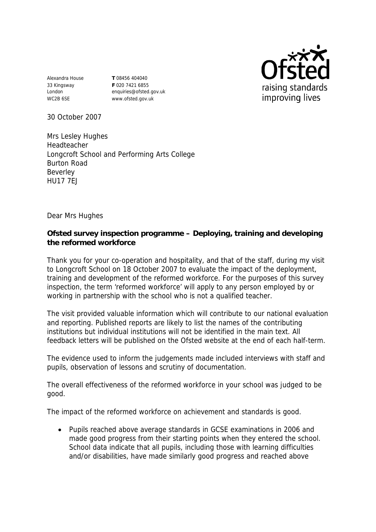Alexandra House 33 Kingsway London WC2B 6SE

**T** 08456 404040 **F** 020 7421 6855 enquiries@ofsted.gov.uk www.ofsted.gov.uk



30 October 2007

Mrs Lesley Hughes Headteacher Longcroft School and Performing Arts College Burton Road Beverley HU17 7EJ

Dear Mrs Hughes

**Ofsted survey inspection programme – Deploying, training and developing the reformed workforce** 

Thank you for your co-operation and hospitality, and that of the staff, during my visit to Longcroft School on 18 October 2007 to evaluate the impact of the deployment, training and development of the reformed workforce. For the purposes of this survey inspection, the term 'reformed workforce' will apply to any person employed by or working in partnership with the school who is not a qualified teacher.

The visit provided valuable information which will contribute to our national evaluation and reporting. Published reports are likely to list the names of the contributing institutions but individual institutions will not be identified in the main text. All feedback letters will be published on the Ofsted website at the end of each half-term.

The evidence used to inform the judgements made included interviews with staff and pupils, observation of lessons and scrutiny of documentation.

The overall effectiveness of the reformed workforce in your school was judged to be good.

The impact of the reformed workforce on achievement and standards is good.

 Pupils reached above average standards in GCSE examinations in 2006 and made good progress from their starting points when they entered the school. School data indicate that all pupils, including those with learning difficulties and/or disabilities, have made similarly good progress and reached above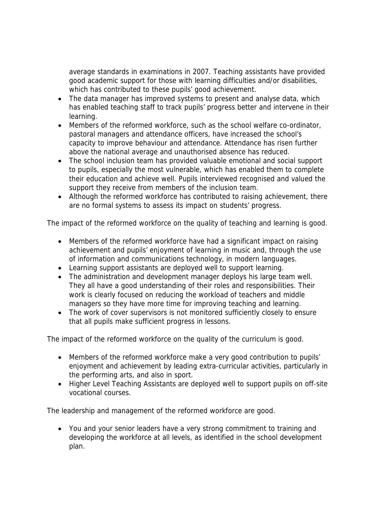average standards in examinations in 2007. Teaching assistants have provided good academic support for those with learning difficulties and/or disabilities, which has contributed to these pupils' good achievement.

- The data manager has improved systems to present and analyse data, which has enabled teaching staff to track pupils' progress better and intervene in their learning.
- Members of the reformed workforce, such as the school welfare co-ordinator, pastoral managers and attendance officers, have increased the school's capacity to improve behaviour and attendance. Attendance has risen further above the national average and unauthorised absence has reduced.
- The school inclusion team has provided valuable emotional and social support to pupils, especially the most vulnerable, which has enabled them to complete their education and achieve well. Pupils interviewed recognised and valued the support they receive from members of the inclusion team.
- Although the reformed workforce has contributed to raising achievement, there are no formal systems to assess its impact on students' progress.

The impact of the reformed workforce on the quality of teaching and learning is good.

- Members of the reformed workforce have had a significant impact on raising achievement and pupils' enjoyment of learning in music and, through the use of information and communications technology, in modern languages.
- Learning support assistants are deployed well to support learning.
- The administration and development manager deploys his large team well. They all have a good understanding of their roles and responsibilities. Their work is clearly focused on reducing the workload of teachers and middle managers so they have more time for improving teaching and learning.
- The work of cover supervisors is not monitored sufficiently closely to ensure that all pupils make sufficient progress in lessons.

The impact of the reformed workforce on the quality of the curriculum is good.

- Members of the reformed workforce make a very good contribution to pupils' enjoyment and achievement by leading extra-curricular activities, particularly in the performing arts, and also in sport.
- Higher Level Teaching Assistants are deployed well to support pupils on off-site vocational courses.

The leadership and management of the reformed workforce are good.

 You and your senior leaders have a very strong commitment to training and developing the workforce at all levels, as identified in the school development plan.